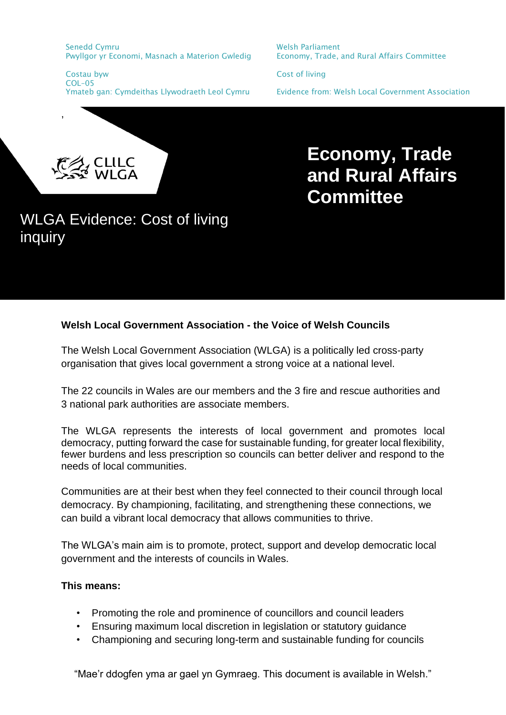Senedd Cymru Pwyllgor yr Economi, Masnach a Materion Gwledig Welsh Parliament Economy, Trade, and Rural Affairs Committee

Costau byw Cost of living COL–05

Ymateb gan: Cymdeithas Llywodraeth Leol Cymru Evidence from: Welsh Local Government Association

,

# **Economy, Trade and Rural Affairs Committee**

## WLGA Evidence: Cost of living inquiry

### **Welsh Local Government Association - the Voice of Welsh Councils**

The Welsh Local Government Association (WLGA) is a politically led cross-party organisation that gives local government a strong voice at a national level.

The 22 councils in Wales are our members and the 3 fire and rescue authorities and 3 national park authorities are associate members.

The WLGA represents the interests of local government and promotes local democracy, putting forward the case for sustainable funding, for greater local flexibility, fewer burdens and less prescription so councils can better deliver and respond to the needs of local communities.

Communities are at their best when they feel connected to their council through local democracy. By championing, facilitating, and strengthening these connections, we can build a vibrant local democracy that allows communities to thrive.

The WLGA's main aim is to promote, protect, support and develop democratic local government and the interests of councils in Wales.

#### **This means:**

- Promoting the role and prominence of councillors and council leaders
- Ensuring maximum local discretion in legislation or statutory guidance
- Championing and securing long-term and sustainable funding for councils

"Mae'r ddogfen yma ar gael yn Gymraeg. This document is available in Welsh."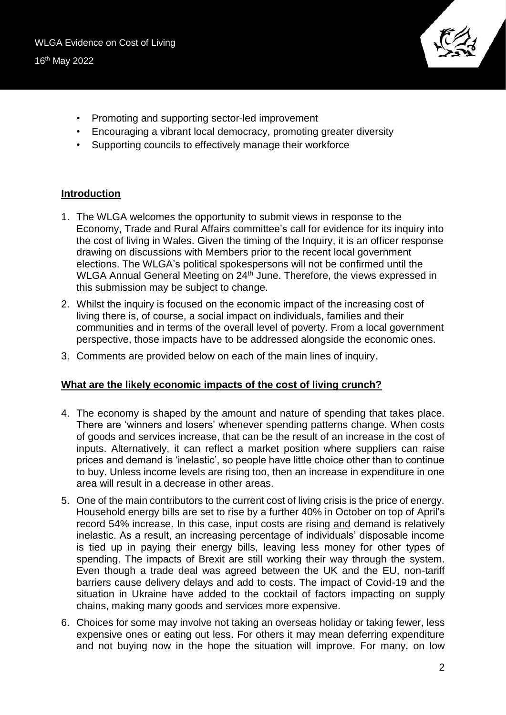

- Promoting and supporting sector-led improvement
- Encouraging a vibrant local democracy, promoting greater diversity
- Supporting councils to effectively manage their workforce

#### **Introduction**

- 1. The WLGA welcomes the opportunity to submit views in response to the Economy, Trade and Rural Affairs committee's call for evidence for its inquiry into the cost of living in Wales. Given the timing of the Inquiry, it is an officer response drawing on discussions with Members prior to the recent local government elections. The WLGA's political spokespersons will not be confirmed until the WLGA Annual General Meeting on 24<sup>th</sup> June. Therefore, the views expressed in this submission may be subject to change.
- 2. Whilst the inquiry is focused on the economic impact of the increasing cost of living there is, of course, a social impact on individuals, families and their communities and in terms of the overall level of poverty. From a local government perspective, those impacts have to be addressed alongside the economic ones.
- 3. Comments are provided below on each of the main lines of inquiry.

#### **What are the likely economic impacts of the cost of living crunch?**

- 4. The economy is shaped by the amount and nature of spending that takes place. There are 'winners and losers' whenever spending patterns change. When costs of goods and services increase, that can be the result of an increase in the cost of inputs. Alternatively, it can reflect a market position where suppliers can raise prices and demand is 'inelastic', so people have little choice other than to continue to buy. Unless income levels are rising too, then an increase in expenditure in one area will result in a decrease in other areas.
- 5. One of the main contributors to the current cost of living crisis is the price of energy. Household energy bills are set to rise by a further 40% in October on top of April's record 54% increase. In this case, input costs are rising and demand is relatively inelastic. As a result, an increasing percentage of individuals' disposable income is tied up in paying their energy bills, leaving less money for other types of spending. The impacts of Brexit are still working their way through the system. Even though a trade deal was agreed between the UK and the EU, non-tariff barriers cause delivery delays and add to costs. The impact of Covid-19 and the situation in Ukraine have added to the cocktail of factors impacting on supply chains, making many goods and services more expensive.
- 6. Choices for some may involve not taking an overseas holiday or taking fewer, less expensive ones or eating out less. For others it may mean deferring expenditure and not buying now in the hope the situation will improve. For many, on low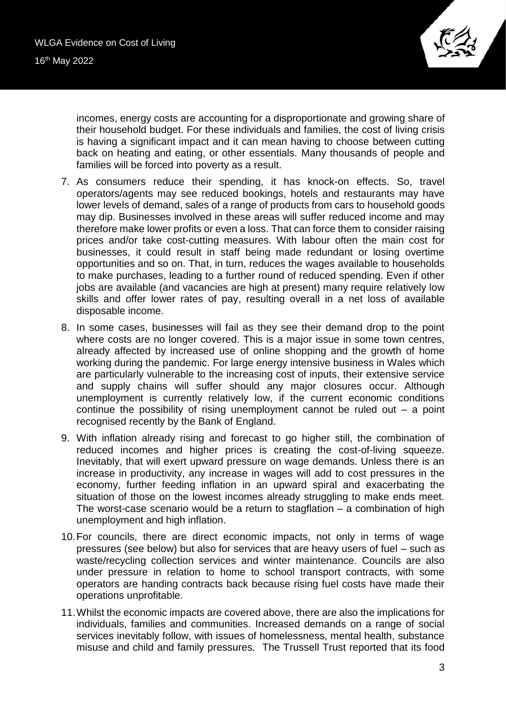

incomes, energy costs are accounting for a disproportionate and growing share of their household budget. For these individuals and families, the cost of living crisis is having a significant impact and it can mean having to choose between cutting back on heating and eating, or other essentials. Many thousands of people and families will be forced into poverty as a result.

- 7. As consumers reduce their spending, it has knock-on effects. So, travel operators/agents may see reduced bookings, hotels and restaurants may have lower levels of demand, sales of a range of products from cars to household goods may dip. Businesses involved in these areas will suffer reduced income and may therefore make lower profits or even a loss. That can force them to consider raising prices and/or take cost-cutting measures. With labour often the main cost for businesses, it could result in staff being made redundant or losing overtime opportunities and so on. That, in turn, reduces the wages available to households to make purchases, leading to a further round of reduced spending. Even if other jobs are available (and vacancies are high at present) many require relatively low skills and offer lower rates of pay, resulting overall in a net loss of available disposable income.
- 8. In some cases, businesses will fail as they see their demand drop to the point where costs are no longer covered. This is a major issue in some town centres, already affected by increased use of online shopping and the growth of home working during the pandemic. For large energy intensive business in Wales which are particularly vulnerable to the increasing cost of inputs, their extensive service and supply chains will suffer should any major closures occur. Although unemployment is currently relatively low, if the current economic conditions continue the possibility of rising unemployment cannot be ruled out – a point recognised recently by the Bank of England.
- 9. With inflation already rising and forecast to go higher still, the combination of reduced incomes and higher prices is creating the cost-of-living squeeze. Inevitably, that will exert upward pressure on wage demands. Unless there is an increase in productivity, any increase in wages will add to cost pressures in the economy, further feeding inflation in an upward spiral and exacerbating the situation of those on the lowest incomes already struggling to make ends meet. The worst-case scenario would be a return to stagflation  $-$  a combination of high unemployment and high inflation.
- 10.For councils, there are direct economic impacts, not only in terms of wage pressures (see below) but also for services that are heavy users of fuel – such as waste/recycling collection services and winter maintenance. Councils are also under pressure in relation to home to school transport contracts, with some operators are handing contracts back because rising fuel costs have made their operations unprofitable.
- 11.Whilst the economic impacts are covered above, there are also the implications for individuals, families and communities. Increased demands on a range of social services inevitably follow, with issues of homelessness, mental health, substance misuse and child and family pressures. The Trussell Trust reported that its food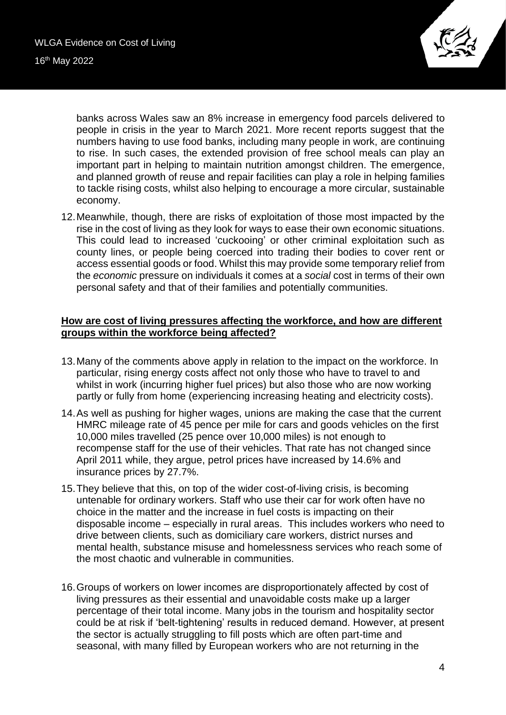

banks across Wales saw an 8% increase in emergency food parcels delivered to people in crisis in the year to March 2021. More recent reports suggest that the numbers having to use food banks, including many people in work, are continuing to rise. In such cases, the extended provision of free school meals can play an important part in helping to maintain nutrition amongst children. The emergence, and planned growth of reuse and repair facilities can play a role in helping families to tackle rising costs, whilst also helping to encourage a more circular, sustainable economy.

12.Meanwhile, though, there are risks of exploitation of those most impacted by the rise in the cost of living as they look for ways to ease their own economic situations. This could lead to increased 'cuckooing' or other criminal exploitation such as county lines, or people being coerced into trading their bodies to cover rent or access essential goods or food. Whilst this may provide some temporary relief from the *economic* pressure on individuals it comes at a *social* cost in terms of their own personal safety and that of their families and potentially communities.

#### **How are cost of living pressures affecting the workforce, and how are different groups within the workforce being affected?**

- 13.Many of the comments above apply in relation to the impact on the workforce. In particular, rising energy costs affect not only those who have to travel to and whilst in work (incurring higher fuel prices) but also those who are now working partly or fully from home (experiencing increasing heating and electricity costs).
- 14.As well as pushing for higher wages, unions are making the case that the current HMRC mileage rate of 45 pence per mile for cars and goods vehicles on the first 10,000 miles travelled (25 pence over 10,000 miles) is not enough to recompense staff for the use of their vehicles. That rate has not changed since April 2011 while, they argue, petrol prices have increased by 14.6% and insurance prices by 27.7%.
- 15.They believe that this, on top of the wider cost-of-living crisis, is becoming untenable for ordinary workers. Staff who use their car for work often have no choice in the matter and the increase in fuel costs is impacting on their disposable income – especially in rural areas. This includes workers who need to drive between clients, such as domiciliary care workers, district nurses and mental health, substance misuse and homelessness services who reach some of the most chaotic and vulnerable in communities.
- 16.Groups of workers on lower incomes are disproportionately affected by cost of living pressures as their essential and unavoidable costs make up a larger percentage of their total income. Many jobs in the tourism and hospitality sector could be at risk if 'belt-tightening' results in reduced demand. However, at present the sector is actually struggling to fill posts which are often part-time and seasonal, with many filled by European workers who are not returning in the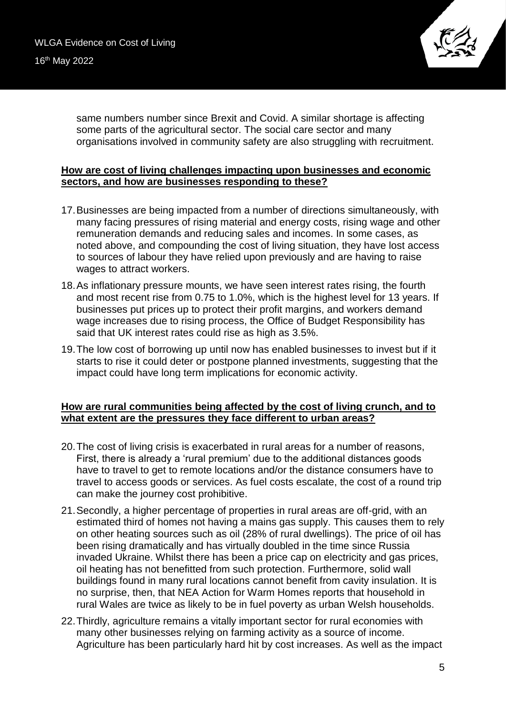

same numbers number since Brexit and Covid. A similar shortage is affecting some parts of the agricultural sector. The social care sector and many organisations involved in community safety are also struggling with recruitment.

#### **How are cost of living challenges impacting upon businesses and economic sectors, and how are businesses responding to these?**

- 17.Businesses are being impacted from a number of directions simultaneously, with many facing pressures of rising material and energy costs, rising wage and other remuneration demands and reducing sales and incomes. In some cases, as noted above, and compounding the cost of living situation, they have lost access to sources of labour they have relied upon previously and are having to raise wages to attract workers.
- 18.As inflationary pressure mounts, we have seen interest rates rising, the fourth and most recent rise from 0.75 to 1.0%, which is the highest level for 13 years. If businesses put prices up to protect their profit margins, and workers demand wage increases due to rising process, the Office of Budget Responsibility has said that UK interest rates could rise as high as 3.5%.
- 19.The low cost of borrowing up until now has enabled businesses to invest but if it starts to rise it could deter or postpone planned investments, suggesting that the impact could have long term implications for economic activity.

#### **How are rural communities being affected by the cost of living crunch, and to what extent are the pressures they face different to urban areas?**

- 20.The cost of living crisis is exacerbated in rural areas for a number of reasons, First, there is already a 'rural premium' due to the additional distances goods have to travel to get to remote locations and/or the distance consumers have to travel to access goods or services. As fuel costs escalate, the cost of a round trip can make the journey cost prohibitive.
- 21.Secondly, a higher percentage of properties in rural areas are off-grid, with an estimated third of homes not having a mains gas supply. This causes them to rely on other heating sources such as oil (28% of rural dwellings). The price of oil has been rising dramatically and has virtually doubled in the time since Russia invaded Ukraine. Whilst there has been a price cap on electricity and gas prices, oil heating has not benefitted from such protection. Furthermore, solid wall buildings found in many rural locations cannot benefit from cavity insulation. It is no surprise, then, that NEA Action for Warm Homes reports that household in rural Wales are twice as likely to be in fuel poverty as urban Welsh households.
- 22.Thirdly, agriculture remains a vitally important sector for rural economies with many other businesses relying on farming activity as a source of income. Agriculture has been particularly hard hit by cost increases. As well as the impact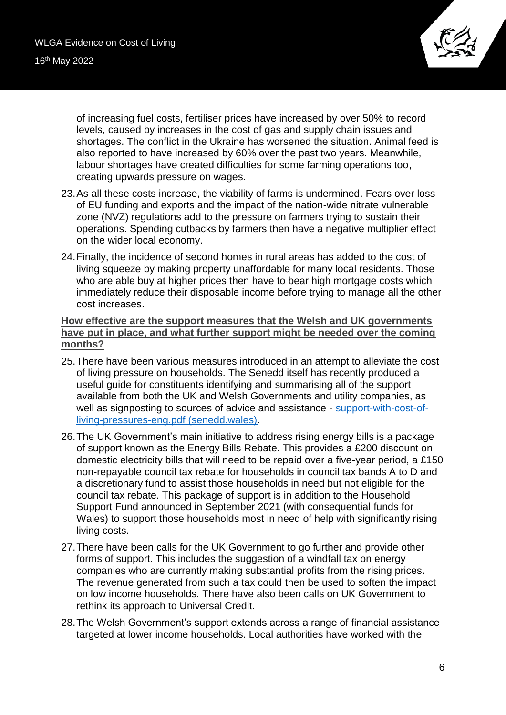

of increasing fuel costs, fertiliser prices have increased by over 50% to record levels, caused by increases in the cost of gas and supply chain issues and shortages. The conflict in the Ukraine has worsened the situation. Animal feed is also reported to have increased by 60% over the past two years. Meanwhile, labour shortages have created difficulties for some farming operations too, creating upwards pressure on wages.

- 23.As all these costs increase, the viability of farms is undermined. Fears over loss of EU funding and exports and the impact of the nation-wide nitrate vulnerable zone (NVZ) regulations add to the pressure on farmers trying to sustain their operations. Spending cutbacks by farmers then have a negative multiplier effect on the wider local economy.
- 24.Finally, the incidence of second homes in rural areas has added to the cost of living squeeze by making property unaffordable for many local residents. Those who are able buy at higher prices then have to bear high mortgage costs which immediately reduce their disposable income before trying to manage all the other cost increases.

#### **How effective are the support measures that the Welsh and UK governments have put in place, and what further support might be needed over the coming months?**

- 25.There have been various measures introduced in an attempt to alleviate the cost of living pressure on households. The Senedd itself has recently produced a useful guide for constituents identifying and summarising all of the support available from both the UK and Welsh Governments and utility companies, as well as signposting to sources of advice and assistance - [support-with-cost-of](https://research.senedd.wales/media/043aeteo/support-with-cost-of-living-pressures-eng.pdf)[living-pressures-eng.pdf \(senedd.wales\).](https://research.senedd.wales/media/043aeteo/support-with-cost-of-living-pressures-eng.pdf)
- 26.The UK Government's main initiative to address rising energy bills is a package of support known as the Energy Bills Rebate. This provides a £200 discount on domestic electricity bills that will need to be repaid over a five-year period, a £150 non-repayable council tax rebate for households in council tax bands A to D and a discretionary fund to assist those households in need but not eligible for the council tax rebate. This package of support is in addition to the Household Support Fund announced in September 2021 (with consequential funds for Wales) to support those households most in need of help with significantly rising living costs.
- 27.There have been calls for the UK Government to go further and provide other forms of support. This includes the suggestion of a windfall tax on energy companies who are currently making substantial profits from the rising prices. The revenue generated from such a tax could then be used to soften the impact on low income households. There have also been calls on UK Government to rethink its approach to Universal Credit.
- 28.The Welsh Government's support extends across a range of financial assistance targeted at lower income households. Local authorities have worked with the